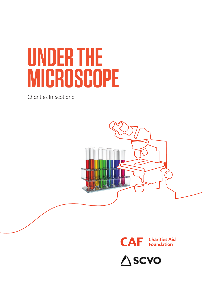# **UNDER THE MICROSCOPE**

Charities in Scotland





**△SCVO**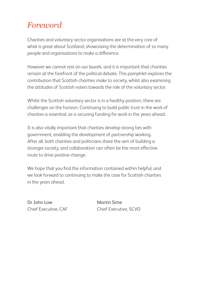### *Foreword*

Charities and voluntary sector organisations are at the very core of what is great about Scotland, showcasing the determination of so many people and organisations to make a difference.

However we cannot rest on our laurels, and it is important that charities remain at the forefront of the political debate. This pamphlet explores the contribution that Scottish charities make to society, whilst also examining the attitudes of Scottish voters towards the role of the voluntary sector.

Whilst the Scottish voluntary sector is in a healthy position, there are challenges on the horizon. Continuing to build public trust in the work of charities is essential, as is securing funding for work in the years ahead.

It is also vitally important that charities develop strong ties with government, enabling the development of partnership working. After all, both charities and politicians share the aim of building a stronger society, and collaboration can often be the most effective route to drive positive change.

We hope that you find the information contained within helpful, and we look forward to continuing to make the case for Scottish charities in the years ahead.

Dr John Low Martin Sime

Chief Executive, CAF Chief Executive, SCVO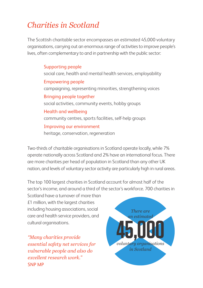# *Charities in Scotland*

The Scottish charitable sector encompasses an estimated 45,000 voluntary organisations, carrying out an enormous range of activities to improve people's lives, often complementary to and in partnership with the public sector:

> Supporting people social care, health and mental health services, employability Empowering people campaigning, representing minorities, strengthening voices Bringing people together social activities, community events, hobby groups Health and wellbeing community centres, sports facilities, self-help groups Improving our environment heritage, conservation, regeneration

Two-thirds of charitable organisations in Scotland operate locally, while 7% operate nationally across Scotland and 2% have an international focus. There are more charities per head of population in Scotland than any other UK nation, and levels of voluntary sector activity are particularly high in rural areas.

The top 100 largest charities in Scotland account for almost half of the sector's income, and around a third of the sector's workforce. 700 charities in

Scotland have a turnover of more than £1 million, with the largest charities including housing associations, social care and health service providers, and cultural organisations.

*"Many charities provide essential safety net services for vulnerable people and also do excellent research work."* SNP MP

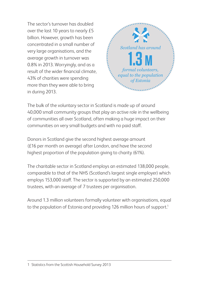The sector's turnover has doubled over the last 10 years to nearly £5 billion. However, growth has been concentrated in a small number of very large organisations, and the average growth in turnover was 0.8% in 2013. Worryingly, and as a result of the wider financial climate, 43% of charities were spending more than they were able to bring in during 2013.



The bulk of the voluntary sector in Scotland is made up of around 40,000 small community groups that play an active role in the wellbeing of communities all over Scotland, often making a huge impact on their communities on very small budgets and with no paid staff.

Donors in Scotland give the second highest average amount (£16 per month on average) after London, and have the second highest proportion of the population giving to charity (61%).

The charitable sector in Scotland employs an estimated 138,000 people, comparable to that of the NHS (Scotland's largest single employer) which employs 153,000 staff. The sector is supported by an estimated 250,000 trustees, with an average of 7 trustees per organisation.

Around 1.3 million volunteers formally volunteer with organisations, equal to the population of Estonia and providing 126 million hours of support.<sup>1</sup>

#### 1 Statistics from the Scottish Household Survey 2013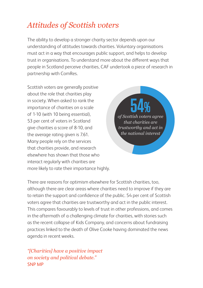## *Attitudes of Scottish voters*

The ability to develop a stronger charity sector depends upon our understanding of attitudes towards charities. Voluntary organisations must act in a way that encourages public support, and helps to develop trust in organisations. To understand more about the different ways that people in Scotland perceive charities, CAF undertook a piece of research in partnership with ComRes.

Scottish voters are generally positive about the role that charities play in society. When asked to rank the importance of charities on a scale of 1-10 (with 10 being essential), 53 per cent of voters in Scotland give charities a score of 8-10, and the average rating given is 7.61. Many people rely on the services that charities provide, and research elsewhere has shown that those who interact regularly with charities are more likely to rate their importance highly.

**54%** *of Scottish voters agree that charities are trustworthy and act in the national interest*

There are reasons for optimism elsewhere for Scottish charities, too, although there are clear areas where charities need to improve if they are to retain the support and confidence of the public. 54 per cent of Scottish voters agree that charities are trustworthy and act in the public interest. This compares favourably to levels of trust in other professions, and comes in the aftermath of a challenging climate for charities, with stories such as the recent collapse of Kids Company, and concerns about fundraising practices linked to the death of Olive Cooke having dominated the news agenda in recent weeks.

*"[Charities] have a positive impact on society and political debate."* SNP MP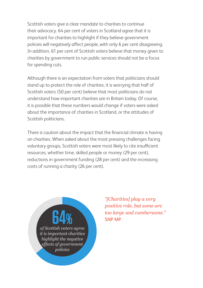Scottish voters give a clear mandate to charities to continue their advocacy. 64 per cent of voters in Scotland agree that it is important for charities to highlight if they believe government policies will negatively affect people, with only 6 per cent disagreeing. In addition, 61 per cent of Scottish voters believe that money given to charities by government to run public services should not be a focus for spending cuts.

Although there is an expectation from voters that politicians should stand up to protect the role of charities, it is worrying that half of Scottish voters (50 per cent) believe that most politicians do not understand how important charities are in Britain today. Of course, it is possible that these numbers would change if voters were asked about the importance of charities in Scotland, or the attitudes of Scottish politicians.

There is caution about the impact that the financial climate is having on charities. When asked about the most pressing challenges facing voluntary groups, Scottish voters were most likely to cite insufficient resources, whether time, skilled people or money (29 per cent), reductions in government funding (28 per cent) and the increasing costs of running a charity (26 per cent).



*"[Charities] play a very positive role, but some are too large and cumbersome."* SNP MP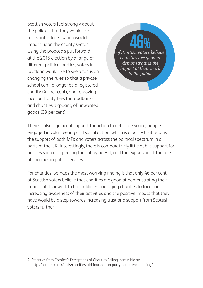Scottish voters feel strongly about the policies that they would like to see introduced which would impact upon the charity sector. Using the proposals put forward at the 2015 election by a range of different political parties, voters in Scotland would like to see a focus on changing the rules so that a private school can no longer be a registered charity (42 per cent), and removing local authority fees for foodbanks and charities disposing of unwanted goods (39 per cent).

**46%** *of Scottish voters believe charities are good at demonstrating the impact of their work to the public*

There is also significant support for action to get more young people engaged in volunteering and social action, which is a policy that retains the support of both MPs and voters across the political spectrum in all parts of the UK. Interestingly, there is comparatively little public support for policies such as repealing the Lobbying Act, and the expansion of the role of charities in public services.

For charities, perhaps the most worrying finding is that only 46 per cent of Scottish voters believe that charities are good at demonstrating their impact of their work to the public. Encouraging charities to focus on increasing awareness of their activities and the positive impact that they have would be a step towards increasing trust and support from Scottish voters further<sup>2</sup>

2 Statistics from ComRes's Perceptions of Charities Polling, accessible at: http://comres.co.uk/polls/charities-aid-foundation-party-conference-polling/